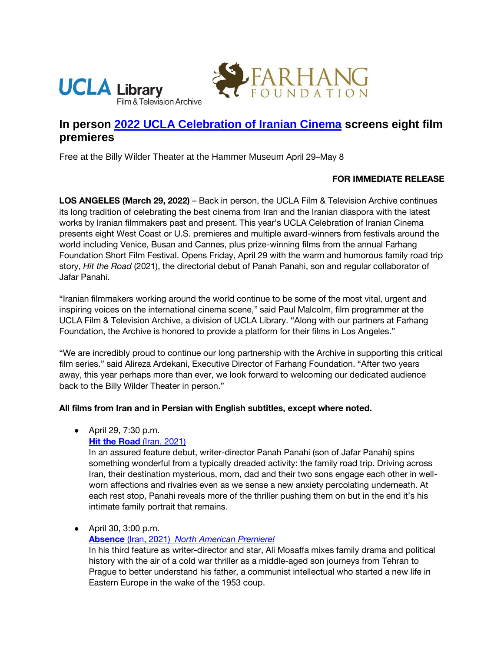



# **In person [2022 UCLA Celebration of Iranian Cinema](https://www.cinema.ucla.edu/events/2022/ucla-celebration-iranian-cinema) screens eight film premieres**

Free at the Billy Wilder Theater at the Hammer Museum April 29–May 8

## **FOR IMMEDIATE RELEASE**

**LOS ANGELES (March 29, 2022)** – Back in person, the UCLA Film & Television Archive continues its long tradition of celebrating the best cinema from Iran and the Iranian diaspora with the latest works by Iranian filmmakers past and present. This year's UCLA Celebration of Iranian Cinema presents eight West Coast or U.S. premieres and multiple award-winners from festivals around the world including Venice, Busan and Cannes, plus prize-winning films from the annual Farhang Foundation Short Film Festival. Opens Friday, April 29 with the warm and humorous family road trip story, *Hit the Road* (2021), the directorial debut of Panah Panahi, son and regular collaborator of Jafar Panahi.

"Iranian filmmakers working around the world continue to be some of the most vital, urgent and inspiring voices on the international cinema scene," said Paul Malcolm, film programmer at the UCLA Film & Television Archive, a division of UCLA Library. "Along with our partners at Farhang Foundation, the Archive is honored to provide a platform for their films in Los Angeles."

"We are incredibly proud to continue our long partnership with the Archive in supporting this critical film series." said Alireza Ardekani, Executive Director of Farhang Foundation. "After two years away, this year perhaps more than ever, we look forward to welcoming our dedicated audience back to the Billy Wilder Theater in person."

#### **All films from Iran and in Persian with English subtitles, except where noted.**

● April 29, 7:30 p.m.

## **[Hit the Road](https://www.cinema.ucla.edu/events/2022/04/29/hit-the-road) (Iran, 2021)**

In an assured feature debut, writer-director Panah Panahi (son of Jafar Panahi) spins something wonderful from a typically dreaded activity: the family road trip. Driving across Iran, their destination mysterious, mom, dad and their two sons engage each other in wellworn affections and rivalries even as we sense a new anxiety percolating underneath. At each rest stop, Panahi reveals more of the thriller pushing them on but in the end it's his intimate family portrait that remains.

● April 30, 3:00 p.m.

## **[Absence](https://www.cinema.ucla.edu/events/2022/04/30/absence)** [\(Iran, 2021\)](https://www.cinema.ucla.edu/events/2022/04/30/absence) *[North American Premiere!](https://www.cinema.ucla.edu/events/2022/04/30/absence)*

In his third feature as writer-director and star, Ali Mosaffa mixes family drama and political history with the air of a cold war thriller as a middle-aged son journeys from Tehran to Prague to better understand his father, a communist intellectual who started a new life in Eastern Europe in the wake of the 1953 coup.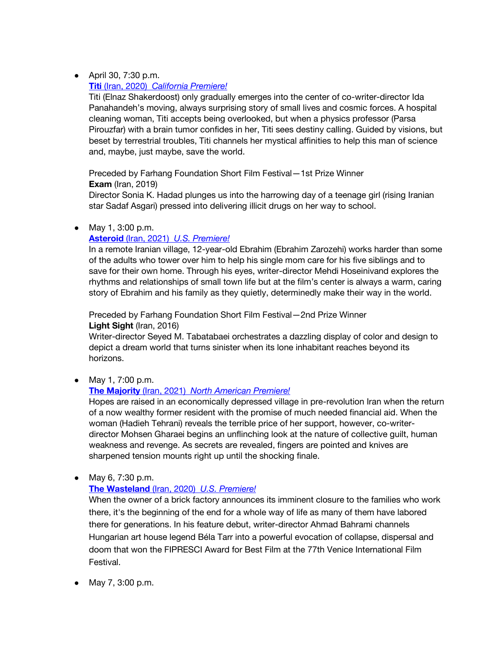# ● April 30, 7:30 p.m.

# **[Titi](https://www.cinema.ucla.edu/events/2022/05/08/titi)** [\(Iran, 2020\)](https://www.cinema.ucla.edu/events/2022/05/08/titi) *[California Premiere!](https://www.cinema.ucla.edu/events/2022/05/08/titi)*

Titi (Elnaz Shakerdoost) only gradually emerges into the center of co-writer-director Ida Panahandeh's moving, always surprising story of small lives and cosmic forces. A hospital cleaning woman, Titi accepts being overlooked, but when a physics professor (Parsa Pirouzfar) with a brain tumor confides in her, Titi sees destiny calling. Guided by visions, but beset by terrestrial troubles, Titi channels her mystical affinities to help this man of science and, maybe, just maybe, save the world.

Preceded by Farhang Foundation Short Film Festival—1st Prize Winner **Exam** (Iran, 2019)

Director Sonia K. Hadad plunges us into the harrowing day of a teenage girl (rising Iranian star Sadaf Asgari) pressed into delivering illicit drugs on her way to school.

# ● May 1, 3:00 p.m.

# **[Asteroid](https://www.cinema.ucla.edu/events/2022/05/01/asteroid)** [\(Iran, 2021\)](https://www.cinema.ucla.edu/events/2022/05/01/asteroid) *[U.S. Premiere!](https://www.cinema.ucla.edu/events/2022/05/01/asteroid)*

In a remote Iranian village, 12-year-old Ebrahim (Ebrahim Zarozehi) works harder than some of the adults who tower over him to help his single mom care for his five siblings and to save for their own home. Through his eyes, writer-director Mehdi Hoseinivand explores the rhythms and relationships of small town life but at the film's center is always a warm, caring story of Ebrahim and his family as they quietly, determinedly make their way in the world.

Preceded by Farhang Foundation Short Film Festival—2nd Prize Winner **Light Sight** (Iran, 2016)

Writer-director Seyed M. Tabatabaei orchestrates a dazzling display of color and design to depict a dream world that turns sinister when its lone inhabitant reaches beyond its horizons.

● May 1, 7:00 p.m.

# **[The Majority](https://www.cinema.ucla.edu/events/2022/05/01/majority)** [\(Iran, 2021\)](https://www.cinema.ucla.edu/events/2022/05/01/majority) *[North American Premiere!](https://www.cinema.ucla.edu/events/2022/05/01/majority)*

Hopes are raised in an economically depressed village in pre-revolution Iran when the return of a now wealthy former resident with the promise of much needed financial aid. When the woman (Hadieh Tehrani) reveals the terrible price of her support, however, co-writerdirector Mohsen Gharaei begins an unflinching look at the nature of collective guilt, human weakness and revenge. As secrets are revealed, fingers are pointed and knives are sharpened tension mounts right up until the shocking finale.

● May 6, 7:30 p.m.

# **[The Wasteland](https://www.cinema.ucla.edu/events/2022/05/06/wasteland)** [\(Iran, 2020\)](https://www.cinema.ucla.edu/events/2022/05/06/wasteland) *[U.S. Premiere!](https://www.cinema.ucla.edu/events/2022/05/06/wasteland)*

When the owner of a brick factory announces its imminent closure to the families who work there, it's the beginning of the end for a whole way of life as many of them have labored there for generations. In his feature debut, writer-director Ahmad Bahrami channels Hungarian art house legend Béla Tarr into a powerful evocation of collapse, dispersal and doom that won the FIPRESCI Award for Best Film at the 77th Venice International Film Festival.

● May 7, 3:00 p.m.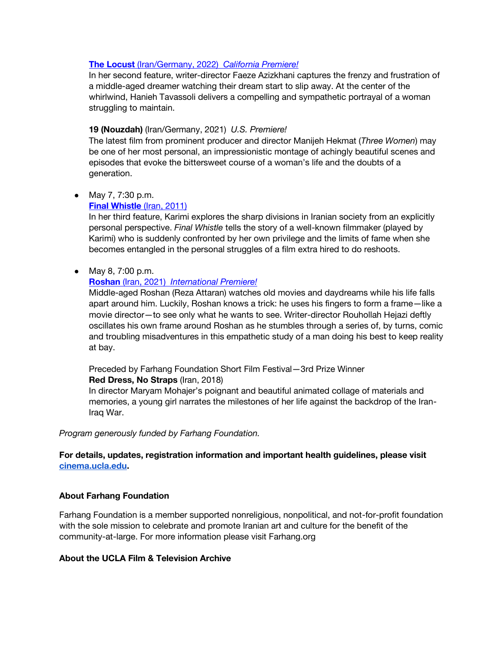#### **[The Locust](https://www.cinema.ucla.edu/events/2022/05/07/locust-19)** [\(Iran/Germany, 2022\)](https://www.cinema.ucla.edu/events/2022/05/07/locust-19) *[California Premiere!](https://www.cinema.ucla.edu/events/2022/05/07/locust-19)*

In her second feature, writer-director Faeze Azizkhani captures the frenzy and frustration of a middle-aged dreamer watching their dream start to slip away. At the center of the whirlwind, Hanieh Tavassoli delivers a compelling and sympathetic portrayal of a woman struggling to maintain.

#### **19 (Nouzdah)** (Iran/Germany, 2021) *U.S. Premiere!*

The latest film from prominent producer and director Manijeh Hekmat (*Three Women*) may be one of her most personal, an impressionistic montage of achingly beautiful scenes and episodes that evoke the bittersweet course of a woman's life and the doubts of a generation.

#### ● May 7, 7:30 p.m.

#### **[Final Whistle](https://www.cinema.ucla.edu/events/2022/05/07/final-whistle)** [\(Iran, 2011\)](https://www.cinema.ucla.edu/events/2022/05/07/final-whistle)

In her third feature, Karimi explores the sharp divisions in Iranian society from an explicitly personal perspective. *Final Whistle* tells the story of a well-known filmmaker (played by Karimi) who is suddenly confronted by her own privilege and the limits of fame when she becomes entangled in the personal struggles of a film extra hired to do reshoots.

## ● May 8, 7:00 p.m.

#### **[Roshan](https://www.cinema.ucla.edu/events/2022/05/07/roshan)** [\(Iran, 2021\)](https://www.cinema.ucla.edu/events/2022/05/07/roshan) *[International Premiere!](https://www.cinema.ucla.edu/events/2022/05/07/roshan)*

Middle-aged Roshan (Reza Attaran) watches old movies and daydreams while his life falls apart around him. Luckily, Roshan knows a trick: he uses his fingers to form a frame—like a movie director—to see only what he wants to see. Writer-director Rouhollah Hejazi deftly oscillates his own frame around Roshan as he stumbles through a series of, by turns, comic and troubling misadventures in this empathetic study of a man doing his best to keep reality at bay.

#### Preceded by Farhang Foundation Short Film Festival—3rd Prize Winner **Red Dress, No Straps** (Iran, 2018)

In director Maryam Mohajer's poignant and beautiful animated collage of materials and memories, a young girl narrates the milestones of her life against the backdrop of the Iran-Iraq War.

#### *Program generously funded by Farhang Foundation.*

**For details, updates, registration information and important health guidelines, please visit [cinema.ucla.edu.](https://www.cinema.ucla.edu/)** 

#### **About Farhang Foundation**

Farhang Foundation is a member supported nonreligious, nonpolitical, and not-for-profit foundation with the sole mission to celebrate and promote Iranian art and culture for the benefit of the community-at-large. For more information please visit Farhang.org

#### **About the UCLA Film & Television Archive**